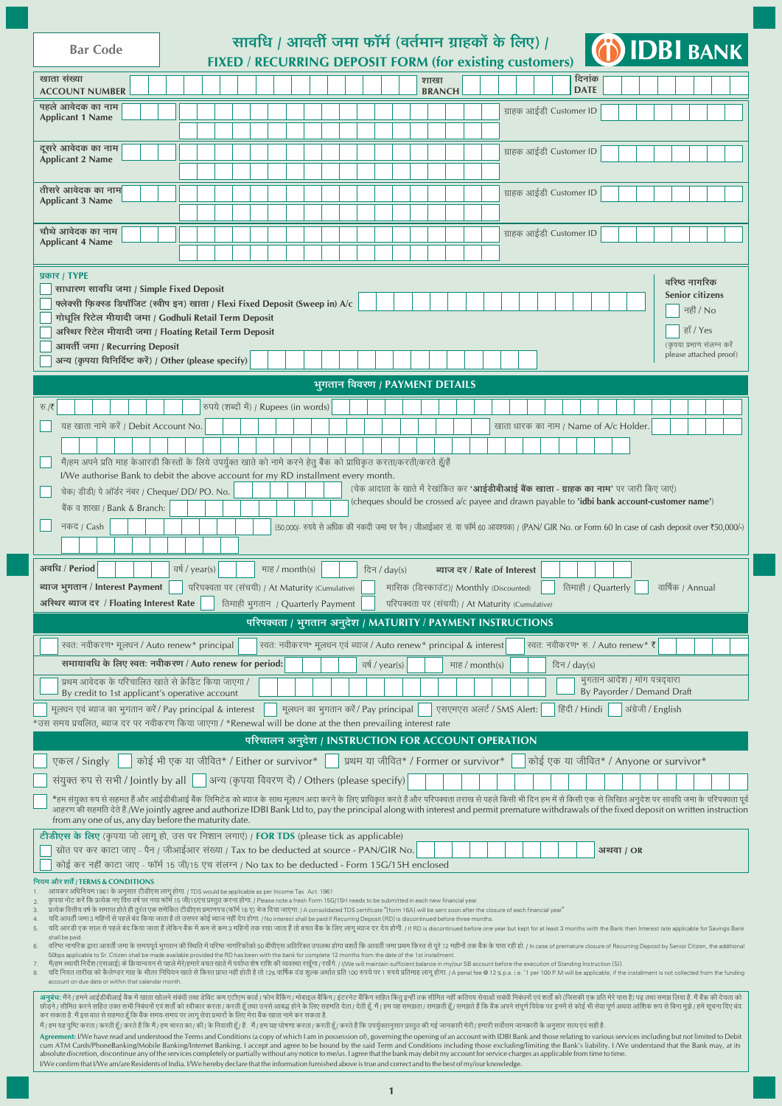| <b>Bar Code</b>                                                                                                                                                                                                                                                                                                                                                                                                                                                                                                                                                                                                                                                                                                                                                                                                                                                                                                                                  |  |  |                                                                   |  |  |  |  |                                        |  |  |  |  |                                      |  |                                | सावधि / आवर्ती जमा फॉर्म (वर्तमान ग्राहकों के लिए) /<br>FIXED / RECURRING DEPOSIT FORM (for existing customers)                                                                                    |                         |  |              |                       |                    |                                                             |                    |                                       | <b>(6) IDBI BANK</b>                                                                                                                         |
|--------------------------------------------------------------------------------------------------------------------------------------------------------------------------------------------------------------------------------------------------------------------------------------------------------------------------------------------------------------------------------------------------------------------------------------------------------------------------------------------------------------------------------------------------------------------------------------------------------------------------------------------------------------------------------------------------------------------------------------------------------------------------------------------------------------------------------------------------------------------------------------------------------------------------------------------------|--|--|-------------------------------------------------------------------|--|--|--|--|----------------------------------------|--|--|--|--|--------------------------------------|--|--------------------------------|----------------------------------------------------------------------------------------------------------------------------------------------------------------------------------------------------|-------------------------|--|--------------|-----------------------|--------------------|-------------------------------------------------------------|--------------------|---------------------------------------|----------------------------------------------------------------------------------------------------------------------------------------------|
| खाता संख्या<br><b>ACCOUNT NUMBER</b>                                                                                                                                                                                                                                                                                                                                                                                                                                                                                                                                                                                                                                                                                                                                                                                                                                                                                                             |  |  |                                                                   |  |  |  |  |                                        |  |  |  |  |                                      |  | शाखा<br><b>BRANCH</b>          |                                                                                                                                                                                                    |                         |  |              | दिनांक<br><b>DATE</b> |                    |                                                             |                    |                                       |                                                                                                                                              |
| पहले आवेदक का नाम<br>ग्राहक आईडी Customer ID<br><b>Applicant 1 Name</b><br>ग्राहक आईडी Customer ID<br><b>Applicant 2 Name</b>                                                                                                                                                                                                                                                                                                                                                                                                                                                                                                                                                                                                                                                                                                                                                                                                                    |  |  |                                                                   |  |  |  |  |                                        |  |  |  |  |                                      |  |                                |                                                                                                                                                                                                    |                         |  |              |                       |                    |                                                             |                    |                                       |                                                                                                                                              |
| दूसरे आवेदक का नाम                                                                                                                                                                                                                                                                                                                                                                                                                                                                                                                                                                                                                                                                                                                                                                                                                                                                                                                               |  |  |                                                                   |  |  |  |  |                                        |  |  |  |  |                                      |  |                                |                                                                                                                                                                                                    |                         |  |              |                       |                    |                                                             |                    |                                       |                                                                                                                                              |
| तीसरे आवेदक का नाम                                                                                                                                                                                                                                                                                                                                                                                                                                                                                                                                                                                                                                                                                                                                                                                                                                                                                                                               |  |  |                                                                   |  |  |  |  |                                        |  |  |  |  |                                      |  |                                |                                                                                                                                                                                                    | ग्राहक आईडी Customer ID |  |              |                       |                    |                                                             |                    |                                       |                                                                                                                                              |
| <b>Applicant 3 Name</b>                                                                                                                                                                                                                                                                                                                                                                                                                                                                                                                                                                                                                                                                                                                                                                                                                                                                                                                          |  |  |                                                                   |  |  |  |  |                                        |  |  |  |  |                                      |  |                                |                                                                                                                                                                                                    |                         |  |              |                       |                    |                                                             |                    |                                       |                                                                                                                                              |
| चौथे आवेदक का नाम<br><b>Applicant 4 Name</b>                                                                                                                                                                                                                                                                                                                                                                                                                                                                                                                                                                                                                                                                                                                                                                                                                                                                                                     |  |  |                                                                   |  |  |  |  |                                        |  |  |  |  |                                      |  |                                |                                                                                                                                                                                                    | ग्राहक आईडी Customer ID |  |              |                       |                    |                                                             |                    |                                       |                                                                                                                                              |
| प्रकार / TYPE                                                                                                                                                                                                                                                                                                                                                                                                                                                                                                                                                                                                                                                                                                                                                                                                                                                                                                                                    |  |  |                                                                   |  |  |  |  |                                        |  |  |  |  |                                      |  |                                |                                                                                                                                                                                                    |                         |  |              |                       |                    |                                                             |                    | वरिष्ठ नागरिक                         |                                                                                                                                              |
| साधारण सावधि जमा / Simple Fixed Deposit<br>फ्लेक्सी फिक्स्ड डिपॉजिट (स्वीप इन) खाता / Flexi Fixed Deposit (Sweep in) A/c                                                                                                                                                                                                                                                                                                                                                                                                                                                                                                                                                                                                                                                                                                                                                                                                                         |  |  |                                                                   |  |  |  |  |                                        |  |  |  |  |                                      |  |                                |                                                                                                                                                                                                    |                         |  |              |                       |                    |                                                             |                    | <b>Senior citizens</b><br>नहीं / No   |                                                                                                                                              |
| गोधूलि रिटेल मीयादी जमा / Godhuli Retail Term Deposit<br>अस्थिर रिटेल मीयादी जमा / Floating Retail Term Deposit                                                                                                                                                                                                                                                                                                                                                                                                                                                                                                                                                                                                                                                                                                                                                                                                                                  |  |  |                                                                   |  |  |  |  |                                        |  |  |  |  |                                      |  |                                |                                                                                                                                                                                                    |                         |  |              |                       |                    |                                                             |                    | हाँ / Yes<br>(कपया प्रमाण संलग्न करें |                                                                                                                                              |
| आवर्ती जमा / Recurring Deposit<br>अन्य (कृपया विनिर्दिष्ट करें) / Other (please specify)                                                                                                                                                                                                                                                                                                                                                                                                                                                                                                                                                                                                                                                                                                                                                                                                                                                         |  |  |                                                                   |  |  |  |  |                                        |  |  |  |  |                                      |  |                                |                                                                                                                                                                                                    |                         |  |              |                       |                    |                                                             |                    | please attached proof)                |                                                                                                                                              |
|                                                                                                                                                                                                                                                                                                                                                                                                                                                                                                                                                                                                                                                                                                                                                                                                                                                                                                                                                  |  |  |                                                                   |  |  |  |  |                                        |  |  |  |  |                                      |  | भुगतान विवरण / PAYMENT DETAILS |                                                                                                                                                                                                    |                         |  |              |                       |                    |                                                             |                    |                                       |                                                                                                                                              |
| ক./₹<br>यह खाता नामे करें / Debit Account No.                                                                                                                                                                                                                                                                                                                                                                                                                                                                                                                                                                                                                                                                                                                                                                                                                                                                                                    |  |  |                                                                   |  |  |  |  | रुपये (शब्दों में) / Rupees (in words) |  |  |  |  |                                      |  |                                |                                                                                                                                                                                                    |                         |  |              |                       |                    | खाता धारक का नाम / Name of A/c Holder.                      |                    |                                       |                                                                                                                                              |
|                                                                                                                                                                                                                                                                                                                                                                                                                                                                                                                                                                                                                                                                                                                                                                                                                                                                                                                                                  |  |  |                                                                   |  |  |  |  |                                        |  |  |  |  |                                      |  |                                |                                                                                                                                                                                                    |                         |  |              |                       |                    |                                                             |                    |                                       |                                                                                                                                              |
| मैं/हम अपने प्रति माह केआरडी किस्तों के लिये उपर्युक्त खाते को नामे करने हेतु बैंक को प्राधिकृत करता/करती/करते हूँ/हैं<br>I/We authorise Bank to debit the above account for my RD installment every month.                                                                                                                                                                                                                                                                                                                                                                                                                                                                                                                                                                                                                                                                                                                                      |  |  |                                                                   |  |  |  |  |                                        |  |  |  |  |                                      |  |                                |                                                                                                                                                                                                    |                         |  |              |                       |                    |                                                             |                    |                                       |                                                                                                                                              |
| चेक/ डीडी/ पे ऑर्डर नंबर / Cheque/ DD/ PO. No.<br>बैंक व शाखा / Bank & Branch:                                                                                                                                                                                                                                                                                                                                                                                                                                                                                                                                                                                                                                                                                                                                                                                                                                                                   |  |  |                                                                   |  |  |  |  |                                        |  |  |  |  |                                      |  |                                | (चेक आदाता के खाते में रेखांकित कर ' <b>आईडीबीआई बैंक खाता - ग्राहक का नाम</b> ' पर जारी किए जाएं)<br>(cheques should be crossed a/c payee and drawn payable to 'idbi bank account-customer name') |                         |  |              |                       |                    |                                                             |                    |                                       |                                                                                                                                              |
| नकद। Cash                                                                                                                                                                                                                                                                                                                                                                                                                                                                                                                                                                                                                                                                                                                                                                                                                                                                                                                                        |  |  |                                                                   |  |  |  |  |                                        |  |  |  |  |                                      |  |                                |                                                                                                                                                                                                    |                         |  |              |                       |                    |                                                             |                    |                                       | (50,000/- रुपये से अधिक की नकदी जमा पर पैन। जीआईआर सं. या फॉर्म 60 आवश्यक)। (PAN/ GIR No. or Form 60 In case of cash deposit over ₹50,000/-) |
|                                                                                                                                                                                                                                                                                                                                                                                                                                                                                                                                                                                                                                                                                                                                                                                                                                                                                                                                                  |  |  |                                                                   |  |  |  |  |                                        |  |  |  |  |                                      |  |                                |                                                                                                                                                                                                    |                         |  |              |                       |                    |                                                             |                    |                                       |                                                                                                                                              |
| अवधि / Period<br>ब्याज भुगतान / Interest Payment                                                                                                                                                                                                                                                                                                                                                                                                                                                                                                                                                                                                                                                                                                                                                                                                                                                                                                 |  |  | वर्ष / year(s)<br>परिपक्वता पर (संचयी) / At Maturity (Cumulative) |  |  |  |  | माह / month(s)                         |  |  |  |  | दिन / $day(s)$                       |  |                                | ब्याज दर / Rate of Interest<br>मासिक (डिस्काउंट)/ Monthly (Discounted)                                                                                                                             |                         |  |              |                       | तिमाही / Quarterly |                                                             |                    | वार्षिक / Annual                      |                                                                                                                                              |
| अस्थिर ब्याज दर / Floating Interest Rate                                                                                                                                                                                                                                                                                                                                                                                                                                                                                                                                                                                                                                                                                                                                                                                                                                                                                                         |  |  |                                                                   |  |  |  |  | तिमाही भुगतान / Quarterly Payment      |  |  |  |  |                                      |  |                                | परिपक्वता पर (संचयी) / At Maturity (Cumulative)                                                                                                                                                    |                         |  |              |                       |                    |                                                             |                    |                                       |                                                                                                                                              |
|                                                                                                                                                                                                                                                                                                                                                                                                                                                                                                                                                                                                                                                                                                                                                                                                                                                                                                                                                  |  |  |                                                                   |  |  |  |  |                                        |  |  |  |  |                                      |  |                                | परिपक्वता / भुगतान अनुदेश / MATURITY / PAYMENT INSTRUCTIONS                                                                                                                                        |                         |  |              |                       |                    |                                                             |                    |                                       |                                                                                                                                              |
| रवतः नवीकरण* मूलधन / Auto renew* principal<br>समायावधि के लिए स्वत: नवीकरण / Auto renew for period:                                                                                                                                                                                                                                                                                                                                                                                                                                                                                                                                                                                                                                                                                                                                                                                                                                              |  |  |                                                                   |  |  |  |  |                                        |  |  |  |  | वर्ष / year(s)                       |  |                                | रवत: नवीकरण* मूलधन एवं ब्याज / Auto renew* principal & interest<br>माह / month(s)                                                                                                                  |                         |  | दिन / day(s) |                       |                    | स्वतः नवीकरण* रु. / Auto renew* ₹                           |                    |                                       |                                                                                                                                              |
| प्रथम आवेदक के परिचालित खाते से क्रेडिट किया जाएगा /<br>By credit to 1st applicant's operative account                                                                                                                                                                                                                                                                                                                                                                                                                                                                                                                                                                                                                                                                                                                                                                                                                                           |  |  |                                                                   |  |  |  |  |                                        |  |  |  |  |                                      |  |                                |                                                                                                                                                                                                    |                         |  |              |                       |                    | भूगतान आदेश / मांग पत्रद्वारा<br>By Payorder / Demand Draft |                    |                                       |                                                                                                                                              |
| मूलधन एवं ब्याज का भुगतान करें / Pay principal & interest                                                                                                                                                                                                                                                                                                                                                                                                                                                                                                                                                                                                                                                                                                                                                                                                                                                                                        |  |  |                                                                   |  |  |  |  |                                        |  |  |  |  | मूलधन का भूगतान करें / Pay principal |  |                                | एसएमएस अलर्ट / SMS Alert:                                                                                                                                                                          |                         |  |              |                       | हिंदी / Hindi      |                                                             | अंग्रेजी / English |                                       |                                                                                                                                              |
| 'उस समय प्रचलित, ब्याज दर पर नवीकरण किया जाएगा / *Renewal will be done at the then prevailing interest rate                                                                                                                                                                                                                                                                                                                                                                                                                                                                                                                                                                                                                                                                                                                                                                                                                                      |  |  |                                                                   |  |  |  |  |                                        |  |  |  |  |                                      |  |                                | परिचालन अनुदेश / INSTRUCTION FOR ACCOUNT OPERATION                                                                                                                                                 |                         |  |              |                       |                    |                                                             |                    |                                       |                                                                                                                                              |
| कोई भी एक या जीवित* / Either or survivor*<br>एकल / Singly                                                                                                                                                                                                                                                                                                                                                                                                                                                                                                                                                                                                                                                                                                                                                                                                                                                                                        |  |  |                                                                   |  |  |  |  |                                        |  |  |  |  |                                      |  |                                | । प्रथम या जीवित* / Former or survivor*                                                                                                                                                            |                         |  |              |                       |                    | कोई एक या जीवित* / Anyone or survivor*                      |                    |                                       |                                                                                                                                              |
| संयुक्त रुप से सभी / Jointly by all   अन्य (कृपया विवरण दें) / Others (please specify)                                                                                                                                                                                                                                                                                                                                                                                                                                                                                                                                                                                                                                                                                                                                                                                                                                                           |  |  |                                                                   |  |  |  |  |                                        |  |  |  |  |                                      |  |                                |                                                                                                                                                                                                    |                         |  |              |                       |                    |                                                             |                    |                                       |                                                                                                                                              |
| *हम संयुक्त रुप से सहमत हैं और आईडीबीआई बैंक लिमिटेड को ब्याज के साथ मूलधन अदा करने के लिए प्रधिकत करते हैं और परिपक्वता तराख से पहले किसी भी दिन हम में से किसी एक से लिखित अनुदेश पर सावधि जमा के परिपक्वता पूर्व<br>आहरण की सहमति देते हैं./We jointly agree and authorize IDBI Bank Ltd to, pay the principal along with interest and permit premature withdrawals of the fixed deposit on written instruction<br>from any one of us, any day before the maturity date.                                                                                                                                                                                                                                                                                                                                                                                                                                                                      |  |  |                                                                   |  |  |  |  |                                        |  |  |  |  |                                      |  |                                |                                                                                                                                                                                                    |                         |  |              |                       |                    |                                                             |                    |                                       |                                                                                                                                              |
| टीडीएस के लिए (कृपया जो लागू हो, उस पर निशान लगाएं) / FOR TDS (please tick as applicable)<br>स्रोत पर कर काटा जाए - पैन / जीआईआर संख्या / Tax to be deducted at source - PAN/GIR No.<br>कोई कर नहीं काटा जाए - फॉर्म 15 जी/15 एच संलग्न / No tax to be deducted - Form 15G/15H enclosed                                                                                                                                                                                                                                                                                                                                                                                                                                                                                                                                                                                                                                                          |  |  |                                                                   |  |  |  |  |                                        |  |  |  |  |                                      |  |                                |                                                                                                                                                                                                    |                         |  |              |                       |                    | अथवा / OR                                                   |                    |                                       |                                                                                                                                              |
| नियम और शर्तै / TERMS & CONDITIONS                                                                                                                                                                                                                                                                                                                                                                                                                                                                                                                                                                                                                                                                                                                                                                                                                                                                                                               |  |  |                                                                   |  |  |  |  |                                        |  |  |  |  |                                      |  |                                |                                                                                                                                                                                                    |                         |  |              |                       |                    |                                                             |                    |                                       |                                                                                                                                              |
| आयकर अधिनियम 1961 के अनुसार टीडीएस लागू होगा. / TDS would be applicable as per Income Tax Act. 1961<br>कृपया नोट करें कि प्रत्येक नए वित्त वर्ष पर नया फॉर्म 15 जी/15एच प्रस्तुत करना होगा. / Please note a fresh Form 15G/15H needs to be submitted in each new financial year.<br>प्रत्येक वित्तीय वर्ष के समाप्त होते ही तुरंत एक समेकित टीडीएस प्रमाणपत्र (फॉर्म 16 ए) भेज दिया जाएगा. / A consolidated TDS certificate "(form 16A) will be sent soon after the closure of each financial year"<br>यदि आवर्ती जमा 3 महिनों से पहले बंद किया जाता है तो उसपर कोई ब्याज नहीं देय होगा. / No interest shall be paid if Recurring Deposit (RD) is discontinued before three months.<br>यदि आरडी एक साल से पहले बंद किया जाता हैं लेकिन बैंक में कम से कम 3 महिनों तक रखा जाता हैं तो बचत बैंक के लिए लागू व्याज दर देय होगी. / If RD is discontinued before one year but kept for at least 3 months with the Bank th                             |  |  |                                                                   |  |  |  |  |                                        |  |  |  |  |                                      |  |                                |                                                                                                                                                                                                    |                         |  |              |                       |                    |                                                             |                    |                                       |                                                                                                                                              |
| shall be paid.<br>वरिष्ठ नागरिक द्वारा आवती जमा के समयपूर्व भुगतान की स्थिति में वरिष्ठ नागरिकोंको 50 बीपीएस अतिरिक्त उपलब्ध होगा बशते कि आवती जमा प्रथम किस्त से पूरे 12 महीनों तक बैक के पास रही हो. / In case of premature closure of Recurr<br>6.<br>50bps applicable to Sr. Citizen shall be made available provided the RD has been with the bank for complete 12 months from the date of the 1st installment<br>मैं/हम स्थायी निर्देश (एसआई) के क्रियान्वयन से पहले मेरे/हमारे बचत खाते में पर्याप्त शेष राशि की व्यवस्था रखूँगा / रखेंगे. / I/We will maintain sufficient balance in my/our SB account before the execution of Standing Inst<br>यदि नियत तारीख को कैलेण्डर माह के भीतर निधियन खाते से किस्त प्राप्त नहीं होती है तो 12% वार्षिक दंड शुल्क अर्थात प्रति 100 रुपये पर 1 रुपये प्रतिमाह लागू होगा. / A penal fee @ 12 % p.a. i.e. '1 per 100 P.M will be applica<br>8.<br>account on due date or within that calendar month |  |  |                                                                   |  |  |  |  |                                        |  |  |  |  |                                      |  |                                |                                                                                                                                                                                                    |                         |  |              |                       |                    |                                                             |                    |                                       |                                                                                                                                              |
| अनुबंध: मैंने / हमने आईडीबीआई बैंक में खाता खोलने संबंधी तथा डेविट कम एटीएम कार्ड / फोन बैंकिंग / मोबाइल बैंकिंग / इंटरनेट बैंकिंग सहित किंतु इन्हीं तक सीमित नहीं कतिपय सेवाओं सबंधी निबंधनों एवं शर्तों को (जिसकी एक प्रति म<br>छोड़ने / सीमित करने सहित उक्त सभी निबंधनों एवं शर्तों को स्वीकार करता / करती हूँ तथा उनसे आबद्ध होने के लिए सहमादी देता / देती हूँ. मैं / हम यह समझता / समझती हूँ / समझते हैं कि बैंक अपने संपूर्ण विवेक पर इनमें से कोई भी से<br>कर सकता है. मैं इस बात से सहमत हूँ कि बैंक समय-समय पर लागू सेवा प्रभारों के लिए मेरा बैंक खाता नामे कर सकता है<br>मैं / हम यह पुष्टि करता / करती हूँ / करते हैं कि मैं / हम भारत का / की / के निवासी हूँ / हैं . मैं / हम यह घोषणा करता / करती हूँ / करते हैं कि उपर्युक्तानुसार प्रस्तुत की गई जानकारी मेरी / हमारी सर्वोत्तम जानकारी के अनुसार                                                                                                                             |  |  |                                                                   |  |  |  |  |                                        |  |  |  |  |                                      |  |                                |                                                                                                                                                                                                    |                         |  |              |                       |                    |                                                             |                    |                                       |                                                                                                                                              |
| Agreement: I/We have read and understood the Terms and Conditions (a copy of which I am in possession of), governing the opening of an account with IDBI Bank and those relating to various services including but not limited<br>cum ATM Cards/PhoneBanking/Mobile Banking/Internet Banking. I accept and agree to be bound by the said Term and Conditions including those excluding/limiting the Bank's liability. I /We understand that the Bank may, at its<br>absolute discretion, discontinue any of the services completely or partially without any notice to me/us. I agree that the bank may debit my account for service charges as applicable from time to time.                                                                                                                                                                                                                                                                    |  |  |                                                                   |  |  |  |  |                                        |  |  |  |  |                                      |  |                                |                                                                                                                                                                                                    |                         |  |              |                       |                    |                                                             |                    |                                       |                                                                                                                                              |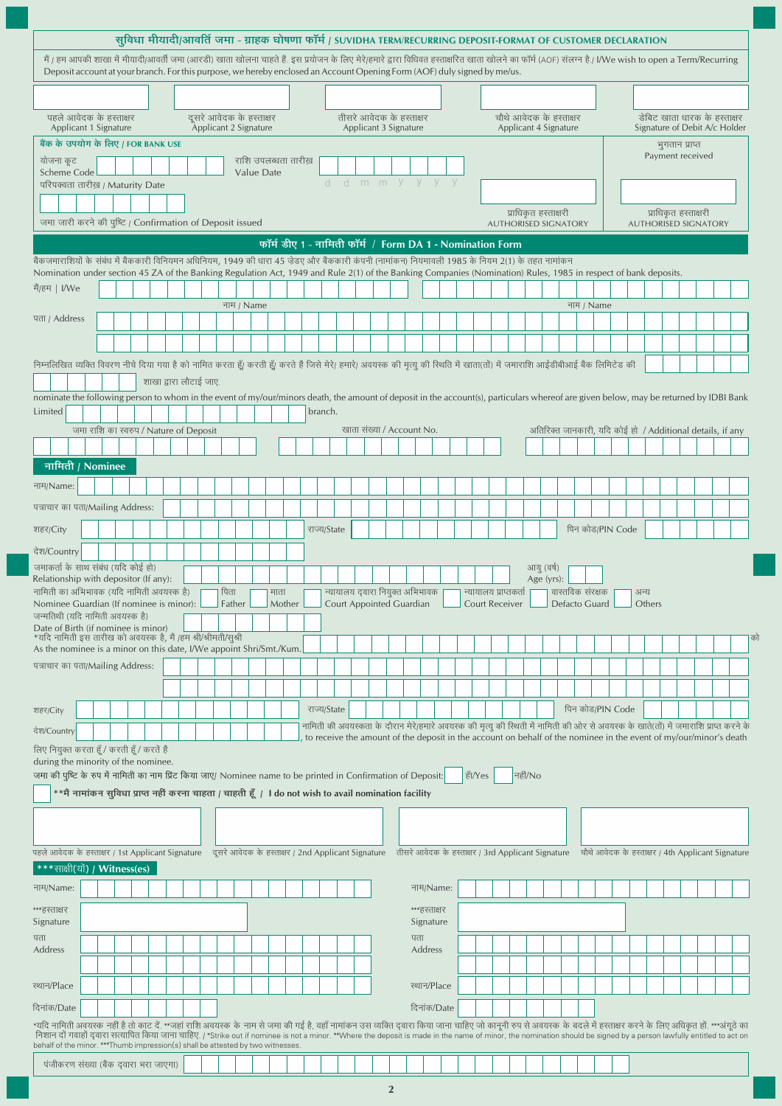| सुविधा मीयादी/आवर्ति जमा - ग्राहक घोषणा फॉर्म / SUVIDHA TERM/RECURRING DEPOSIT-FORMAT OF CUSTOMER DECLARATION                                                                                                                                                                                                                                                                                                                          |                                                                                                                      |  |  |                                        |  |                        |  |                       |      |        |            |      |                                                    |  |             |  |                          |                                                                                                                                       |  |           |                                                     |         |                                                  |                  |                  |  |                                                           |        |                                                               |                |  |  |  |  |
|----------------------------------------------------------------------------------------------------------------------------------------------------------------------------------------------------------------------------------------------------------------------------------------------------------------------------------------------------------------------------------------------------------------------------------------|----------------------------------------------------------------------------------------------------------------------|--|--|----------------------------------------|--|------------------------|--|-----------------------|------|--------|------------|------|----------------------------------------------------|--|-------------|--|--------------------------|---------------------------------------------------------------------------------------------------------------------------------------|--|-----------|-----------------------------------------------------|---------|--------------------------------------------------|------------------|------------------|--|-----------------------------------------------------------|--------|---------------------------------------------------------------|----------------|--|--|--|--|
| मैं / हम आपकी शाखा में मीयादी/आवर्ती जमा (आरडी) खाता खोलना चाहते हैं. इस प्रयोजन के लिए मेरे/हमारे द्वारा विधिवत हस्ताक्षरित खाता खोलने का फॉर्म (AOF) संलग्न है./ I/We wish to open a Term/Recurring<br>Deposit account at your branch. For this purpose, we hereby enclosed an Account Opening Form (AOF) duly signed by me/us.                                                                                                      |                                                                                                                      |  |  |                                        |  |                        |  |                       |      |        |            |      |                                                    |  |             |  |                          |                                                                                                                                       |  |           |                                                     |         |                                                  |                  |                  |  |                                                           |        |                                                               |                |  |  |  |  |
|                                                                                                                                                                                                                                                                                                                                                                                                                                        | पहले आवेदक के हस्ताक्षर<br>दूसरे आवेदक के हस्ताक्षर<br>तीसरे आवेदक के हस्ताक्षर                                      |  |  |                                        |  |                        |  |                       |      |        |            |      |                                                    |  |             |  |                          |                                                                                                                                       |  |           |                                                     |         |                                                  |                  |                  |  |                                                           |        |                                                               |                |  |  |  |  |
| Applicant 1 Signature                                                                                                                                                                                                                                                                                                                                                                                                                  |                                                                                                                      |  |  |                                        |  |                        |  | Applicant 2 Signature |      |        |            |      |                                                    |  |             |  | Applicant 3 Signature    |                                                                                                                                       |  |           |                                                     |         | चौथे आवेदक के हस्ताक्षर<br>Applicant 4 Signature |                  |                  |  |                                                           |        | डेबिट खाता धारक के हस्ताक्षर<br>Signature of Debit A/c Holder |                |  |  |  |  |
| बैंक के उपयोग के लिए / FOR BANK USE                                                                                                                                                                                                                                                                                                                                                                                                    |                                                                                                                      |  |  |                                        |  |                        |  |                       |      |        |            |      |                                                    |  |             |  |                          |                                                                                                                                       |  |           |                                                     |         |                                                  |                  |                  |  |                                                           |        |                                                               | भुगतान प्राप्त |  |  |  |  |
| योजना कूट<br><b>Scheme Code</b>                                                                                                                                                                                                                                                                                                                                                                                                        |                                                                                                                      |  |  |                                        |  |                        |  |                       |      |        | Value Date |      | राशि उपलब्धता तारीख़                               |  |             |  |                          | d d m m y y y y                                                                                                                       |  |           |                                                     |         |                                                  | Payment received |                  |  |                                                           |        |                                                               |                |  |  |  |  |
| परिपक्वता तारीख़ / Maturity Date                                                                                                                                                                                                                                                                                                                                                                                                       |                                                                                                                      |  |  |                                        |  |                        |  |                       |      |        |            |      |                                                    |  |             |  |                          |                                                                                                                                       |  |           |                                                     |         |                                                  |                  |                  |  |                                                           |        |                                                               |                |  |  |  |  |
|                                                                                                                                                                                                                                                                                                                                                                                                                                        | जमा जारी करने की पुष्टि / Confirmation of Deposit issued<br>फॉर्म डीए 1 - नामिती फॉर्म / Form DA 1 - Nomination Form |  |  |                                        |  |                        |  |                       |      |        |            |      |                                                    |  |             |  |                          | प्राधिकृत हस्ताक्षरी<br><b>AUTHORISED SIGNATORY</b>                                                                                   |  |           | प्राधिकृत हस्ताक्षरी<br><b>AUTHORISED SIGNATORY</b> |         |                                                  |                  |                  |  |                                                           |        |                                                               |                |  |  |  |  |
|                                                                                                                                                                                                                                                                                                                                                                                                                                        |                                                                                                                      |  |  |                                        |  |                        |  |                       |      |        |            |      |                                                    |  |             |  |                          |                                                                                                                                       |  |           |                                                     |         |                                                  |                  |                  |  |                                                           |        |                                                               |                |  |  |  |  |
| बैंकजमाराशियों के संबंध में बैंककारी विनियमन अधिनियम, 1949 की धारा 45 जेडए और बैंककारी कंपनी (नामांकन) नियमावली 1985 के नियम 2(1) के तहत नामांकन                                                                                                                                                                                                                                                                                       |                                                                                                                      |  |  |                                        |  |                        |  |                       |      |        |            |      |                                                    |  |             |  |                          |                                                                                                                                       |  |           |                                                     |         |                                                  |                  |                  |  |                                                           |        |                                                               |                |  |  |  |  |
| Nomination under section 45 ZA of the Banking Regulation Act, 1949 and Rule 2(1) of the Banking Companies (Nomination) Rules, 1985 in respect of bank deposits.<br>मैं/हम   I/We                                                                                                                                                                                                                                                       |                                                                                                                      |  |  |                                        |  |                        |  |                       |      |        |            |      |                                                    |  |             |  |                          |                                                                                                                                       |  |           |                                                     |         |                                                  |                  |                  |  |                                                           |        |                                                               |                |  |  |  |  |
|                                                                                                                                                                                                                                                                                                                                                                                                                                        |                                                                                                                      |  |  |                                        |  |                        |  |                       |      |        | नाम / Name |      |                                                    |  |             |  |                          |                                                                                                                                       |  |           |                                                     |         |                                                  |                  | नाम / Name       |  |                                                           |        |                                                               |                |  |  |  |  |
| पता / Address                                                                                                                                                                                                                                                                                                                                                                                                                          |                                                                                                                      |  |  |                                        |  |                        |  |                       |      |        |            |      |                                                    |  |             |  |                          |                                                                                                                                       |  |           |                                                     |         |                                                  |                  |                  |  |                                                           |        |                                                               |                |  |  |  |  |
|                                                                                                                                                                                                                                                                                                                                                                                                                                        |                                                                                                                      |  |  |                                        |  |                        |  |                       |      |        |            |      |                                                    |  |             |  |                          |                                                                                                                                       |  |           |                                                     |         |                                                  |                  |                  |  |                                                           |        |                                                               |                |  |  |  |  |
| निम्नलिखित व्यक्ति विवरण नीचे दिया गया है को नामित करता हूँ। करते हैं जिसे मेरे। हमारे। अवयस्क की मृत्यु की स्थिति में खाता(तों) में जमाराशि आईडीबीआई बैंक लिमिटेड की                                                                                                                                                                                                                                                                  |                                                                                                                      |  |  |                                        |  | शाखा द्वारा लौटाई जाए. |  |                       |      |        |            |      |                                                    |  |             |  |                          |                                                                                                                                       |  |           |                                                     |         |                                                  |                  |                  |  |                                                           |        |                                                               |                |  |  |  |  |
| nominate the following person to whom in the event of my/our/minors death, the amount of deposit in the account(s), particulars whereof are given below, may be returned by IDBI Bank                                                                                                                                                                                                                                                  |                                                                                                                      |  |  |                                        |  |                        |  |                       |      |        |            |      |                                                    |  |             |  |                          |                                                                                                                                       |  |           |                                                     |         |                                                  |                  |                  |  |                                                           |        |                                                               |                |  |  |  |  |
| Limited                                                                                                                                                                                                                                                                                                                                                                                                                                |                                                                                                                      |  |  |                                        |  |                        |  |                       |      |        |            |      |                                                    |  | branch.     |  |                          |                                                                                                                                       |  |           |                                                     |         |                                                  |                  |                  |  |                                                           |        |                                                               |                |  |  |  |  |
|                                                                                                                                                                                                                                                                                                                                                                                                                                        |                                                                                                                      |  |  | जमा राशि का स्वरुप / Nature of Deposit |  |                        |  |                       |      |        |            |      |                                                    |  |             |  |                          | खाता संख्या / Account No.                                                                                                             |  |           |                                                     |         |                                                  |                  |                  |  | अतिरिक्त जानकारी, यदि कोई हो / Additional details, if any |        |                                                               |                |  |  |  |  |
| नामिती / Nominee                                                                                                                                                                                                                                                                                                                                                                                                                       |                                                                                                                      |  |  |                                        |  |                        |  |                       |      |        |            |      |                                                    |  |             |  |                          |                                                                                                                                       |  |           |                                                     |         |                                                  |                  |                  |  |                                                           |        |                                                               |                |  |  |  |  |
| नाम/Name:                                                                                                                                                                                                                                                                                                                                                                                                                              |                                                                                                                      |  |  |                                        |  |                        |  |                       |      |        |            |      |                                                    |  |             |  |                          |                                                                                                                                       |  |           |                                                     |         |                                                  |                  |                  |  |                                                           |        |                                                               |                |  |  |  |  |
| पत्राचार का पता/Mailing Address:                                                                                                                                                                                                                                                                                                                                                                                                       |                                                                                                                      |  |  |                                        |  |                        |  |                       |      |        |            |      |                                                    |  |             |  |                          |                                                                                                                                       |  |           |                                                     |         |                                                  |                  |                  |  |                                                           |        |                                                               |                |  |  |  |  |
| शहर/City                                                                                                                                                                                                                                                                                                                                                                                                                               |                                                                                                                      |  |  |                                        |  |                        |  |                       |      |        |            |      |                                                    |  | राज्य/State |  |                          |                                                                                                                                       |  |           |                                                     |         |                                                  |                  |                  |  | पिन कोड/PIN Code                                          |        |                                                               |                |  |  |  |  |
| देश/Country                                                                                                                                                                                                                                                                                                                                                                                                                            |                                                                                                                      |  |  |                                        |  |                        |  |                       |      |        |            |      |                                                    |  |             |  |                          |                                                                                                                                       |  |           |                                                     |         |                                                  |                  |                  |  |                                                           |        |                                                               |                |  |  |  |  |
| जमाकर्ता के साथ संबंध (यदि कोई हो)                                                                                                                                                                                                                                                                                                                                                                                                     |                                                                                                                      |  |  |                                        |  |                        |  |                       |      |        |            |      |                                                    |  |             |  |                          |                                                                                                                                       |  |           |                                                     |         | आयु (वर्ष)                                       |                  |                  |  |                                                           |        |                                                               |                |  |  |  |  |
| Relationship with depositor (If any):<br>नामिती का अभिभावक (यदि नामिती अवयस्क है)                                                                                                                                                                                                                                                                                                                                                      |                                                                                                                      |  |  |                                        |  |                        |  |                       | पिता |        |            | माता |                                                    |  |             |  |                          | न्यायालय द्वारा नियुक्त अभिभावक                                                                                                       |  |           | न्यायालय प्राप्तकर्ता                               |         | Age (yrs):                                       |                  | वास्तविक संरक्षक |  |                                                           | अन्य   |                                                               |                |  |  |  |  |
| Nominee Guardian (If nominee is minor):<br>जन्मतिथी (यदि नामिती अवयस्क है)                                                                                                                                                                                                                                                                                                                                                             |                                                                                                                      |  |  |                                        |  |                        |  |                       |      | Father |            |      | Mother                                             |  |             |  | Court Appointed Guardian |                                                                                                                                       |  |           | Court Receiver                                      |         |                                                  |                  | Defacto Guard    |  |                                                           | Others |                                                               |                |  |  |  |  |
| Date of Birth (if nominee is minor)<br>*यदि नामिती इस तारीख को अवयस्क है, मैं /हम श्री/श्रीमती/सूश्री                                                                                                                                                                                                                                                                                                                                  |                                                                                                                      |  |  |                                        |  |                        |  |                       |      |        |            |      |                                                    |  |             |  |                          |                                                                                                                                       |  |           |                                                     |         |                                                  |                  |                  |  |                                                           |        |                                                               |                |  |  |  |  |
| As the nominee is a minor on this date, I/We appoint Shri/Smt./Kum<br>पत्राचार का पता/Mailing Address:                                                                                                                                                                                                                                                                                                                                 |                                                                                                                      |  |  |                                        |  |                        |  |                       |      |        |            |      |                                                    |  |             |  |                          |                                                                                                                                       |  |           |                                                     |         |                                                  |                  |                  |  |                                                           |        |                                                               |                |  |  |  |  |
|                                                                                                                                                                                                                                                                                                                                                                                                                                        |                                                                                                                      |  |  |                                        |  |                        |  |                       |      |        |            |      |                                                    |  |             |  |                          |                                                                                                                                       |  |           |                                                     |         |                                                  |                  |                  |  |                                                           |        |                                                               |                |  |  |  |  |
|                                                                                                                                                                                                                                                                                                                                                                                                                                        |                                                                                                                      |  |  |                                        |  |                        |  |                       |      |        |            |      |                                                    |  | राज्य/State |  |                          |                                                                                                                                       |  |           |                                                     |         |                                                  |                  |                  |  | पिन कोड/PIN Code                                          |        |                                                               |                |  |  |  |  |
| शहर/City<br>देश/Country                                                                                                                                                                                                                                                                                                                                                                                                                |                                                                                                                      |  |  |                                        |  |                        |  |                       |      |        |            |      |                                                    |  |             |  |                          | नामिती की अवयस्कता के दौरान मेरे/हमारे अवयस्क की मृत्यु की स्थिती में नामिती की ओर से अवयस्क के खाते(तों) में जमाराशि प्राप्त करने के |  |           |                                                     |         |                                                  |                  |                  |  |                                                           |        |                                                               |                |  |  |  |  |
| लिए नियुक्त करता हूँ / करती हूँ / करतें हैं                                                                                                                                                                                                                                                                                                                                                                                            |                                                                                                                      |  |  |                                        |  |                        |  |                       |      |        |            |      |                                                    |  |             |  |                          | to receive the amount of the deposit in the account on behalf of the nominee in the event of my/our/minor's death                     |  |           |                                                     |         |                                                  |                  |                  |  |                                                           |        |                                                               |                |  |  |  |  |
| during the minority of the nominee.<br>जमा की पुष्टि के रुप में नामिती का नाम प्रिंट किया जाए/ Nominee name to be printed in Confirmation of Deposit:                                                                                                                                                                                                                                                                                  |                                                                                                                      |  |  |                                        |  |                        |  |                       |      |        |            |      |                                                    |  |             |  |                          |                                                                                                                                       |  | । हाँ/Yes |                                                     | नहीं/No |                                                  |                  |                  |  |                                                           |        |                                                               |                |  |  |  |  |
| **मैं नामांकन सुविधा प्राप्त नहीं करना चाहता / चाहती हूँ / I do not wish to avail nomination facility                                                                                                                                                                                                                                                                                                                                  |                                                                                                                      |  |  |                                        |  |                        |  |                       |      |        |            |      |                                                    |  |             |  |                          |                                                                                                                                       |  |           |                                                     |         |                                                  |                  |                  |  |                                                           |        |                                                               |                |  |  |  |  |
|                                                                                                                                                                                                                                                                                                                                                                                                                                        |                                                                                                                      |  |  |                                        |  |                        |  |                       |      |        |            |      |                                                    |  |             |  |                          |                                                                                                                                       |  |           |                                                     |         |                                                  |                  |                  |  |                                                           |        |                                                               |                |  |  |  |  |
|                                                                                                                                                                                                                                                                                                                                                                                                                                        |                                                                                                                      |  |  |                                        |  |                        |  |                       |      |        |            |      |                                                    |  |             |  |                          |                                                                                                                                       |  |           |                                                     |         |                                                  |                  |                  |  |                                                           |        |                                                               |                |  |  |  |  |
| पहले आवेदक के हस्ताक्षर / 1st Applicant Signature                                                                                                                                                                                                                                                                                                                                                                                      |                                                                                                                      |  |  |                                        |  |                        |  |                       |      |        |            |      | दूसरे आवेदक के हस्ताक्षर / 2nd Applicant Signature |  |             |  |                          | तीसरे आवेदक के हस्ताक्षर / 3rd Applicant Signature                                                                                    |  |           |                                                     |         |                                                  |                  |                  |  | चौथे आवेदक के हस्ताक्षर / 4th Applicant Signature         |        |                                                               |                |  |  |  |  |
| ***साक्षी(यों) / Witness(es)                                                                                                                                                                                                                                                                                                                                                                                                           |                                                                                                                      |  |  |                                        |  |                        |  |                       |      |        |            |      |                                                    |  |             |  |                          |                                                                                                                                       |  |           |                                                     |         |                                                  |                  |                  |  |                                                           |        |                                                               |                |  |  |  |  |
| नाम/Name:                                                                                                                                                                                                                                                                                                                                                                                                                              |                                                                                                                      |  |  |                                        |  |                        |  |                       |      |        |            |      |                                                    |  |             |  |                          | नाम/Name:                                                                                                                             |  |           |                                                     |         |                                                  |                  |                  |  |                                                           |        |                                                               |                |  |  |  |  |
| ***हस्ताक्षर<br>Signature                                                                                                                                                                                                                                                                                                                                                                                                              |                                                                                                                      |  |  |                                        |  |                        |  |                       |      |        |            |      |                                                    |  |             |  |                          | ***हस्ताक्षर<br>Signature                                                                                                             |  |           |                                                     |         |                                                  |                  |                  |  |                                                           |        |                                                               |                |  |  |  |  |
| पता<br>Address                                                                                                                                                                                                                                                                                                                                                                                                                         |                                                                                                                      |  |  |                                        |  |                        |  |                       |      |        |            |      |                                                    |  |             |  |                          | पता<br>Address                                                                                                                        |  |           |                                                     |         |                                                  |                  |                  |  |                                                           |        |                                                               |                |  |  |  |  |
|                                                                                                                                                                                                                                                                                                                                                                                                                                        |                                                                                                                      |  |  |                                        |  |                        |  |                       |      |        |            |      |                                                    |  |             |  |                          |                                                                                                                                       |  |           |                                                     |         |                                                  |                  |                  |  |                                                           |        |                                                               |                |  |  |  |  |
| स्थान/Place                                                                                                                                                                                                                                                                                                                                                                                                                            |                                                                                                                      |  |  |                                        |  |                        |  |                       |      |        |            |      |                                                    |  |             |  |                          | ख्यान/Place                                                                                                                           |  |           |                                                     |         |                                                  |                  |                  |  |                                                           |        |                                                               |                |  |  |  |  |
| दिनांक/Date                                                                                                                                                                                                                                                                                                                                                                                                                            |                                                                                                                      |  |  |                                        |  |                        |  |                       |      |        |            |      |                                                    |  |             |  |                          | दिनांक/Date                                                                                                                           |  |           |                                                     |         |                                                  |                  |                  |  |                                                           |        |                                                               |                |  |  |  |  |
| *यदि नामिती अवयस्क नहीं है तो काट दें. **जहां राशि अवयस्क के नाम से जमा की गई है, वहाँ नामांकन उस वविद्युवादा कथा जाना चाहिए जो कानूनी रुप से अवयस्क के बदले में हस्ताक्षर करने के लिए अधिकृत हों. ***अंगूठे का<br>निशान दों गवाहों दवारा सत्यापित किया जाना चाहिए. / *Strike out if nominee is not a minor. **Where the deposit is made in the name of minor, the nomination should be signed by a person lawfully entitled to act on |                                                                                                                      |  |  |                                        |  |                        |  |                       |      |        |            |      |                                                    |  |             |  |                          |                                                                                                                                       |  |           |                                                     |         |                                                  |                  |                  |  |                                                           |        |                                                               |                |  |  |  |  |
| behalf of the minor. ***Thumb impression(s) shall be attested by two witnesses                                                                                                                                                                                                                                                                                                                                                         |                                                                                                                      |  |  |                                        |  |                        |  |                       |      |        |            |      |                                                    |  |             |  |                          |                                                                                                                                       |  |           |                                                     |         |                                                  |                  |                  |  |                                                           |        |                                                               |                |  |  |  |  |
| पंजीकरण संख्या (बैंक दवारा भरा जाएगा)                                                                                                                                                                                                                                                                                                                                                                                                  |                                                                                                                      |  |  |                                        |  |                        |  |                       |      |        |            |      |                                                    |  |             |  |                          |                                                                                                                                       |  |           |                                                     |         |                                                  |                  |                  |  |                                                           |        |                                                               |                |  |  |  |  |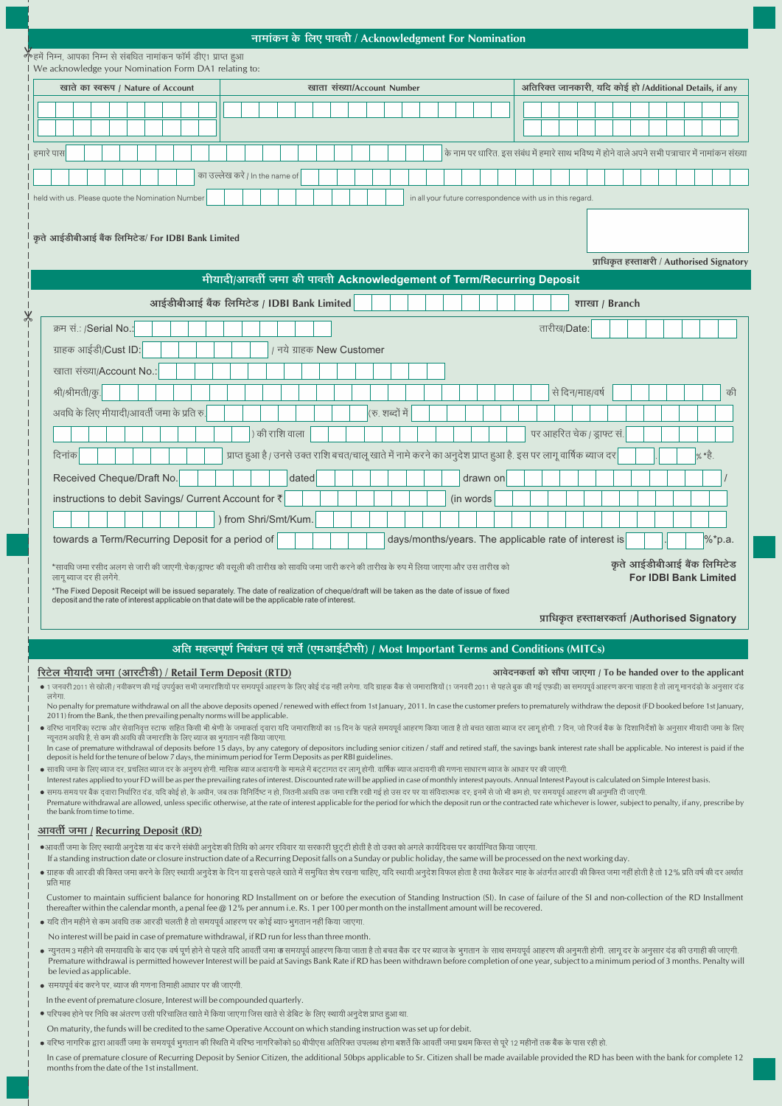| नामांकन के लिए पावती / Acknowledgment For Nomination |  |  |  |  |  |
|------------------------------------------------------|--|--|--|--|--|

|                                    | ,<br>•हमें निम्न, आपका निम्न से संबधित नामांकन फॉर्म डीए१ प्राप्त हआ<br>We acknowledge your Nomination Form DA1 relating to: |        |                         |  |                                                                                                             |  |  |  |  |  |                                 |                                                                                                   |  |                            |                |  |       |  |                           |  |  |  |                 |  |  |  |  |                                                                                                                                                                                                                               |  |  |  |  |                           |  |  |  |  |  |  |  |                                                                |       |            |  |
|------------------------------------|------------------------------------------------------------------------------------------------------------------------------|--------|-------------------------|--|-------------------------------------------------------------------------------------------------------------|--|--|--|--|--|---------------------------------|---------------------------------------------------------------------------------------------------|--|----------------------------|----------------|--|-------|--|---------------------------|--|--|--|-----------------|--|--|--|--|-------------------------------------------------------------------------------------------------------------------------------------------------------------------------------------------------------------------------------|--|--|--|--|---------------------------|--|--|--|--|--|--|--|----------------------------------------------------------------|-------|------------|--|
| खाते का स्वरूप / Nature of Account |                                                                                                                              |        |                         |  |                                                                                                             |  |  |  |  |  |                                 |                                                                                                   |  | खाता संख्या/Account Number |                |  |       |  |                           |  |  |  |                 |  |  |  |  | अतिरिक्त जानकारी, यदि कोई हो /Additional Details, if any                                                                                                                                                                      |  |  |  |  |                           |  |  |  |  |  |  |  |                                                                |       |            |  |
|                                    |                                                                                                                              |        |                         |  |                                                                                                             |  |  |  |  |  |                                 |                                                                                                   |  |                            |                |  |       |  |                           |  |  |  |                 |  |  |  |  |                                                                                                                                                                                                                               |  |  |  |  |                           |  |  |  |  |  |  |  |                                                                |       |            |  |
|                                    |                                                                                                                              |        |                         |  |                                                                                                             |  |  |  |  |  |                                 |                                                                                                   |  |                            |                |  |       |  |                           |  |  |  |                 |  |  |  |  |                                                                                                                                                                                                                               |  |  |  |  |                           |  |  |  |  |  |  |  |                                                                |       |            |  |
|                                    | हमारे पास                                                                                                                    |        |                         |  |                                                                                                             |  |  |  |  |  |                                 | के नाम पर धारित. इस संबंध में हमारे साथ भविष्य में होने वाले अपने सभी पत्राचार में नामांकन संख्या |  |                            |                |  |       |  |                           |  |  |  |                 |  |  |  |  |                                                                                                                                                                                                                               |  |  |  |  |                           |  |  |  |  |  |  |  |                                                                |       |            |  |
|                                    |                                                                                                                              |        |                         |  |                                                                                                             |  |  |  |  |  | का उल्लेख करें / In the name of |                                                                                                   |  |                            |                |  |       |  |                           |  |  |  |                 |  |  |  |  |                                                                                                                                                                                                                               |  |  |  |  |                           |  |  |  |  |  |  |  |                                                                |       |            |  |
|                                    |                                                                                                                              |        |                         |  | held with us. Please quote the Nomination Number                                                            |  |  |  |  |  |                                 |                                                                                                   |  |                            |                |  |       |  |                           |  |  |  |                 |  |  |  |  | in all your future correspondence with us in this regard.                                                                                                                                                                     |  |  |  |  |                           |  |  |  |  |  |  |  |                                                                |       |            |  |
|                                    |                                                                                                                              |        |                         |  |                                                                                                             |  |  |  |  |  |                                 |                                                                                                   |  |                            |                |  |       |  |                           |  |  |  |                 |  |  |  |  |                                                                                                                                                                                                                               |  |  |  |  |                           |  |  |  |  |  |  |  |                                                                |       |            |  |
|                                    |                                                                                                                              |        |                         |  | कृते आईडीबीआई बैंक लिमिटेड/ For IDBI Bank Limited                                                           |  |  |  |  |  |                                 |                                                                                                   |  |                            |                |  |       |  |                           |  |  |  |                 |  |  |  |  |                                                                                                                                                                                                                               |  |  |  |  |                           |  |  |  |  |  |  |  |                                                                |       |            |  |
|                                    |                                                                                                                              |        |                         |  |                                                                                                             |  |  |  |  |  |                                 |                                                                                                   |  |                            |                |  |       |  |                           |  |  |  |                 |  |  |  |  |                                                                                                                                                                                                                               |  |  |  |  |                           |  |  |  |  |  |  |  |                                                                |       |            |  |
|                                    | प्राधिकृत हस्ताक्षरी / Authorised Signatory<br>मीयादी/आवर्ती जमा की पावती Acknowledgement of Term/Recurring Deposit          |        |                         |  |                                                                                                             |  |  |  |  |  |                                 |                                                                                                   |  |                            |                |  |       |  |                           |  |  |  |                 |  |  |  |  |                                                                                                                                                                                                                               |  |  |  |  |                           |  |  |  |  |  |  |  |                                                                |       |            |  |
|                                    | आईडीबीआई बैंक लिमिटेड / IDBI Bank Limited<br>शाखा / Branch                                                                   |        |                         |  |                                                                                                             |  |  |  |  |  |                                 |                                                                                                   |  |                            |                |  |       |  |                           |  |  |  |                 |  |  |  |  |                                                                                                                                                                                                                               |  |  |  |  |                           |  |  |  |  |  |  |  |                                                                |       |            |  |
|                                    | क्रम सं.: /Serial No.:<br>तारीख/Date:                                                                                        |        |                         |  |                                                                                                             |  |  |  |  |  |                                 |                                                                                                   |  |                            |                |  |       |  |                           |  |  |  |                 |  |  |  |  |                                                                                                                                                                                                                               |  |  |  |  |                           |  |  |  |  |  |  |  |                                                                |       |            |  |
|                                    |                                                                                                                              |        |                         |  | ग्राहक आईडी/Cust ID:                                                                                        |  |  |  |  |  |                                 |                                                                                                   |  |                            |                |  |       |  | / नये ग्राहक New Customer |  |  |  |                 |  |  |  |  |                                                                                                                                                                                                                               |  |  |  |  |                           |  |  |  |  |  |  |  |                                                                |       |            |  |
|                                    |                                                                                                                              |        |                         |  |                                                                                                             |  |  |  |  |  |                                 |                                                                                                   |  |                            |                |  |       |  |                           |  |  |  |                 |  |  |  |  |                                                                                                                                                                                                                               |  |  |  |  |                           |  |  |  |  |  |  |  |                                                                |       |            |  |
|                                    | खाता संख्या/Account No.:<br>से दिन/माह/वर्ष<br>श्री/श्रीमती/कु.<br>की                                                        |        |                         |  |                                                                                                             |  |  |  |  |  |                                 |                                                                                                   |  |                            |                |  |       |  |                           |  |  |  |                 |  |  |  |  |                                                                                                                                                                                                                               |  |  |  |  |                           |  |  |  |  |  |  |  |                                                                |       |            |  |
|                                    |                                                                                                                              |        |                         |  | अवधि के लिए मीयादी/आवर्ती जमा के प्रति रु.                                                                  |  |  |  |  |  |                                 |                                                                                                   |  |                            |                |  |       |  |                           |  |  |  | (रु. शब्दों में |  |  |  |  |                                                                                                                                                                                                                               |  |  |  |  |                           |  |  |  |  |  |  |  |                                                                |       |            |  |
|                                    |                                                                                                                              |        |                         |  |                                                                                                             |  |  |  |  |  |                                 |                                                                                                   |  |                            | ) की राशि वाला |  |       |  |                           |  |  |  |                 |  |  |  |  |                                                                                                                                                                                                                               |  |  |  |  | पर आहरित चेक / ड्राफ्ट सं |  |  |  |  |  |  |  |                                                                |       |            |  |
|                                    |                                                                                                                              | दिनांक |                         |  |                                                                                                             |  |  |  |  |  |                                 |                                                                                                   |  |                            |                |  |       |  |                           |  |  |  |                 |  |  |  |  | प्राप्त हुआ है / उनसे उक्त राशि बचत/चालू खाते में नामे करने का अनुदेश प्राप्त हुआ है. इस पर लागू वार्षिक ब्याज दर                                                                                                             |  |  |  |  |                           |  |  |  |  |  |  |  |                                                                | % *हे |            |  |
|                                    |                                                                                                                              |        |                         |  | Received Cheque/Draft No.                                                                                   |  |  |  |  |  |                                 |                                                                                                   |  |                            |                |  | dated |  |                           |  |  |  |                 |  |  |  |  | drawn on                                                                                                                                                                                                                      |  |  |  |  |                           |  |  |  |  |  |  |  |                                                                |       |            |  |
|                                    |                                                                                                                              |        |                         |  | instructions to debit Savings/ Current Account for ₹                                                        |  |  |  |  |  |                                 |                                                                                                   |  |                            |                |  |       |  |                           |  |  |  |                 |  |  |  |  | (in words)                                                                                                                                                                                                                    |  |  |  |  |                           |  |  |  |  |  |  |  |                                                                |       |            |  |
|                                    |                                                                                                                              |        |                         |  |                                                                                                             |  |  |  |  |  |                                 | ) from Shri/Smt/Kum.                                                                              |  |                            |                |  |       |  |                           |  |  |  |                 |  |  |  |  |                                                                                                                                                                                                                               |  |  |  |  |                           |  |  |  |  |  |  |  |                                                                |       |            |  |
|                                    |                                                                                                                              |        |                         |  | towards a Term/Recurring Deposit for a period of                                                            |  |  |  |  |  |                                 |                                                                                                   |  |                            |                |  |       |  |                           |  |  |  |                 |  |  |  |  | days/months/years. The applicable rate of interest is                                                                                                                                                                         |  |  |  |  |                           |  |  |  |  |  |  |  |                                                                |       | $\%$ *p.a. |  |
|                                    |                                                                                                                              |        |                         |  |                                                                                                             |  |  |  |  |  |                                 |                                                                                                   |  |                            |                |  |       |  |                           |  |  |  |                 |  |  |  |  | *सावधि जमा रसीद अलग से जारी की जाएगी.चेक/ड्राफ्ट की वसूली की तारीख को सावधि जमा जारी करने की तारीख के रुप में लिया जाएगा और उस तारीख को                                                                                       |  |  |  |  |                           |  |  |  |  |  |  |  | कृते आईडीबीआई बैंक लिमिटेड                                     |       |            |  |
|                                    |                                                                                                                              |        | लागू ब्याज दर ही लगेंगे |  |                                                                                                             |  |  |  |  |  |                                 |                                                                                                   |  |                            |                |  |       |  |                           |  |  |  |                 |  |  |  |  | *The Fixed Deposit Receipt will be issued separately. The date of realization of cheque/draft will be taken as the date of issue of fixed                                                                                     |  |  |  |  |                           |  |  |  |  |  |  |  | <b>For IDBI Bank Limited</b>                                   |       |            |  |
|                                    |                                                                                                                              |        |                         |  | deposit and the rate of interest applicable on that date will be the applicable rate of interest.           |  |  |  |  |  |                                 |                                                                                                   |  |                            |                |  |       |  |                           |  |  |  |                 |  |  |  |  |                                                                                                                                                                                                                               |  |  |  |  |                           |  |  |  |  |  |  |  |                                                                |       |            |  |
|                                    |                                                                                                                              |        |                         |  |                                                                                                             |  |  |  |  |  |                                 |                                                                                                   |  |                            |                |  |       |  |                           |  |  |  |                 |  |  |  |  |                                                                                                                                                                                                                               |  |  |  |  |                           |  |  |  |  |  |  |  | प्राधिकृत हस्ताक्षरकर्ता /Authorised Signatory                 |       |            |  |
|                                    |                                                                                                                              |        |                         |  |                                                                                                             |  |  |  |  |  |                                 |                                                                                                   |  |                            |                |  |       |  |                           |  |  |  |                 |  |  |  |  | अति महत्वपूर्ण निबंधन एवं शर्ते (एमआईटीसी) / Most Important Terms and Conditions (MITCs)                                                                                                                                      |  |  |  |  |                           |  |  |  |  |  |  |  |                                                                |       |            |  |
|                                    |                                                                                                                              |        |                         |  | <u>रिटेल मीयादी जमा (आरटीडी) / Retail Term Deposit (RTD)</u>                                                |  |  |  |  |  |                                 |                                                                                                   |  |                            |                |  |       |  |                           |  |  |  |                 |  |  |  |  |                                                                                                                                                                                                                               |  |  |  |  |                           |  |  |  |  |  |  |  | आवेदनकर्ता को सौंपा जाएगा / To be handed over to the applicant |       |            |  |
|                                    | लगेगा.                                                                                                                       |        |                         |  |                                                                                                             |  |  |  |  |  |                                 |                                                                                                   |  |                            |                |  |       |  |                           |  |  |  |                 |  |  |  |  | ● 1 जनवरी 2011 से खोली / नवीकरण की गई उपर्युक्त सभी जमाराशियों पर समयपूर्व आहरण के लिए कोई दंड नहीं लगेगा. यदि ग्राहक बैंक से जमाराशियों (1 जनवरी 2011 से पहले बुक की गई एफडी) का समयपूर्व आहरण करना चाहता है तो लागू मानदंडो |  |  |  |  |                           |  |  |  |  |  |  |  |                                                                |       |            |  |
|                                    |                                                                                                                              |        |                         |  | 2011) from the Bank, the then prevailing penalty norms will be applicable.                                  |  |  |  |  |  |                                 |                                                                                                   |  |                            |                |  |       |  |                           |  |  |  |                 |  |  |  |  | No penalty for premature withdrawal on all the above deposits opened / renewed with effect from 1st January, 2011. In case the customer prefers to prematurely withdraw the deposit (FD booked before 1st January,            |  |  |  |  |                           |  |  |  |  |  |  |  |                                                                |       |            |  |
|                                    |                                                                                                                              |        |                         |  | न्यूनतम अवधि है, से कम की अवधि की जमाराशि के लिए ब्याज का भुगतान नहीं किया जाएगा.                           |  |  |  |  |  |                                 |                                                                                                   |  |                            |                |  |       |  |                           |  |  |  |                 |  |  |  |  | ● वरिष्ठ नागरिक/ स्टाफ और सेवानिवृत्त स्टाफ सहित किसी भी श्रेणी के जमाकर्ता द्वारा यदि जमाशीथों का 15 दिन के पहले समयपूर्व आहरण किया जाता है तो बचत खाता ब्याज दर लागू होगी. 7 दिन, जो रिजर्व बैक के दिशानिर्देशों के अनुसार  |  |  |  |  |                           |  |  |  |  |  |  |  |                                                                |       |            |  |
|                                    |                                                                                                                              |        |                         |  | deposit is held for the tenure of below 7 days, the minimum period for Term Deposits as per RBI guidelines. |  |  |  |  |  |                                 |                                                                                                   |  |                            |                |  |       |  |                           |  |  |  |                 |  |  |  |  | In case of premature withdrawal of deposits before 15 days, by any category of depositors including senior citizen / staff and retired staff, the savings bank interest rate shall be applicable. No interest is paid if the  |  |  |  |  |                           |  |  |  |  |  |  |  |                                                                |       |            |  |

- सावधि जमा के लिए व्याज दर, प्रचलित व्याज दर के अनुरुप होगी. मासिक व्याज अदायगी के मामले में बट्टागत दर लागू होगी. वार्षिक व्याज अदायगी की गणना साधारण व्याज के आधार पर की जाएगी
- Interest rates applied to your FD will be as per the prevailing rates of interest. Discounted rate will be applied in case of monthly interest payouts. Annual Interest Payout is calculated on Simple Interest basis.
- समय-समय पर बैंक दवारा निर्धारित दंड, यदि कोई हो, के अधीन, जब तक विनिर्दिष्ट न हो, जितनी अवधि तक जमा राशि रखी गई हो उस दर पर या संविदात्मक दर; इनमें से जो भी कम हो, पर समयपूर्व आहरण की अनुमति दी जाएगी. Premature withdrawal are allowed, unless specific otherwise, at the rate of interest applicable for the period for which the deposit run or the contracted rate whichever is lower, subject to penalty, if any, prescribe by the bank from time to time

## <u>आवर्ती जमा / Recurring Deposit (RD)</u>

●आवर्ती जमा के लिए स्थायी अनुदेश या बंद करने संबंधी अनुदेश की तिथि को अगर रविवार या सरकारी छुट्टी होती है तो उक्त को अगले कार्यदिवस पर कार्यान्वित किया जाएगा.

- If a standing instruction date or closure instruction date of a Recurring Deposit falls on a Sunday or public holiday, the same will be processed on the next working day.
- ग्राहक की आरडी की किस्त जमा करने के लिए स्थायी अनुदेश के दिन या इससे पहले खारे अमुवित शेष रखना चाहिए, यदि स्थायी अनुदेश विफल होता है तथा कैलेंडर माह के अंतर्गत आरडी की किस्त जमा नहीं होती है तो 12% प्रति वर्ष की दर अर्था
- Customer to maintain sufficient balance for honoring RD Installment on or before the execution of Standing Instruction (SI). In case of failure of the SI and non-collection of the RD Installment<br>thereafter within the calen
- यदि तीन महीने से कम अवधि तक आरडी चलती है तो समयपूर्व आहरण पर कोई ब्याज्भुगतान नहीं किया जाएगा.
- No interest will be paid in case of premature withdrawal, if RD run for less than three month.
- न्यूनतम 3 महीने की समयावधि के बाद एक वर्ष पूर्ण होने से पहले यदि आवती जमा का समयपूर्व बादा बैंक वर पर बाज के भुगतान के साथ समयपूर्व आहरण की अनुमती होगी. लागू दर के अनुसार दंड की उगाही की जाएगी. Premature withdrawal is permitted however Interest will be paid at Savings Bank Rate if RD has been withdrawn before completion of one year, subject to a minimum period of 3 months. Penalty will be levied as applicable.
- समयपूर्व बंद करने पर, ब्याज की गणना तिमाही आधार पर की जाएगी.
- In the event of premature closure, Interest will be compounded quarterly.
- परिपक्व होने पर निधि का अंतरण उसी परिचालित खाते में किया जाएगा जिस खाते से डेबिट के लिए स्थायी अनुदेश प्राप्त हुआ था.
- On maturity, the funds will be credited to the same Operative Account on which standing instruction was set up for debit.
- वरिष्ठ नागरिक द्वारा आवर्ती जमा के समयपूर्व भुगतान की स्थिति में वरिष्ठ नागरिकोंको 50 बीपीएस अतिरिक्त उपलब्ध होगा बशर्ते कि आवर्ती जमा प्रथम किस्त से पूरे 12 महीनों तक बैंक के पास रही हो.

In case of premature closure of Recurring Deposit by Senior Citizen, the additional 50bps applicable to Sr. Citizen shall be made available provided the RD has been with the bank for complete 12 months from the date of the 1st installment.